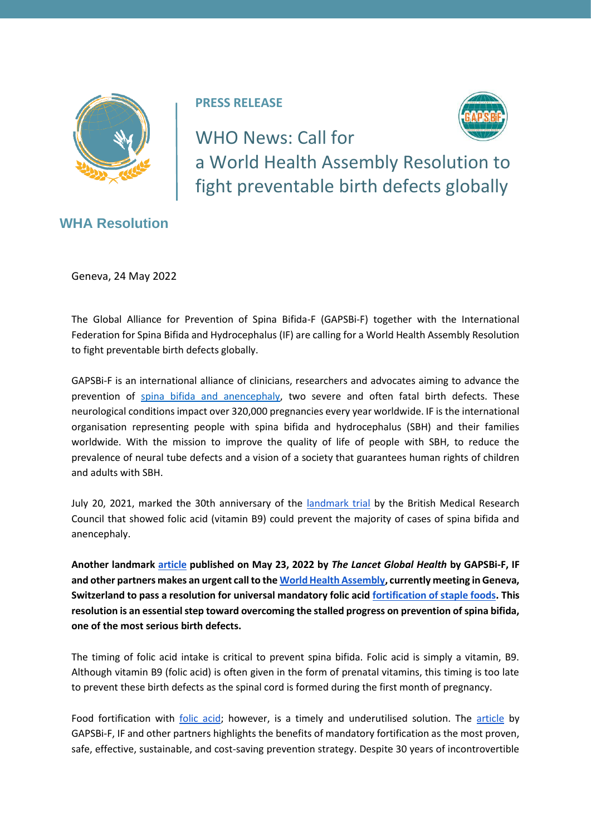

**PRESS RELEASE** 



WHO News: Call for a World Health Assembly Resolution to fight preventable birth defects globally

**WHA Resolution**

Geneva, 24 May 2022

The Global Alliance for Prevention of Spina Bifida-F (GAPSBi-F) together with the International Federation for Spina Bifida and Hydrocephalus (IF) are calling for a World Health Assembly Resolution to fight preventable birth defects globally.

GAPSBi-F is an international alliance of clinicians, researchers and advocates aiming to advance the prevention of [spina bifida and anencephaly,](https://www.cdc.gov/ncbddd/birthdefects/facts-about-neural-tube-defects.html) two severe and often fatal birth defects. These neurological conditions impact over 320,000 pregnancies every year worldwide. IF is the international organisation representing people with spina bifida and hydrocephalus (SBH) and their families worldwide. With the mission to improve the quality of life of people with SBH, to reduce the prevalence of neural tube defects and a vision of a society that guarantees human rights of children and adults with SBH.

July 20, 2021, marked the 30th anniversary of the [landmark trial](https://pubmed.ncbi.nlm.nih.gov/1677062/) by the British Medical Research Council that showed folic acid (vitamin B9) could prevent the majority of cases of spina bifida and anencephaly.

**Another landmark [article](https://nam11.safelinks.protection.outlook.com/?url=https%3A%2F%2Fwww.thelancet.com%2Fjournals%2Flanglo%2Farticle%2FPIIS2214-109X(22)00213-3%2Ffulltext&data=05%7C01%7Cvijaya.kancherla%40emory.edu%7C44f7ad6aaedb4659af2c08da3cf06f33%7Ce004fb9cb0a4424fbcd0322606d5df38%7C0%7C0%7C637889301305768448%7CUnknown%7CTWFpbGZsb3d8eyJWIjoiMC4wLjAwMDAiLCJQIjoiV2luMzIiLCJBTiI6Ik1haWwiLCJXVCI6Mn0%3D%7C3000%7C%7C%7C&sdata=X0hyiEZKiTVpbtjCrtUs9FaFiFnAODfi%2FmyvCrIGEbw%3D&reserved=0) published on May 23, 2022 by** *The Lancet Global Health* **by GAPSBi-F, IF and other partners makes an urgent call to th[e World Health Assembly,](https://www.who.int/about/governance/world-health-assembly) currently meeting in Geneva, Switzerland to pass a resolution for universal mandatory folic acid [fortification of staple foods.](https://www.who.int/publications/i/item/9241594012) This resolution is an essential step toward overcoming the stalled progress on prevention of spina bifida, one of the most serious birth defects.** 

The timing of folic acid intake is critical to prevent spina bifida. Folic acid is simply a vitamin, B9. Although vitamin B9 (folic acid) is often given in the form of prenatal vitamins, this timing is too late to prevent these birth defects as the spinal cord is formed during the first month of pregnancy.

Food fortification with *folic acid*; however, is a timely and underutilised solution. The [article](https://nam11.safelinks.protection.outlook.com/?url=https%3A%2F%2Fwww.thelancet.com%2Fjournals%2Flanglo%2Farticle%2FPIIS2214-109X(22)00213-3%2Ffulltext&data=05%7C01%7Cvijaya.kancherla%40emory.edu%7C44f7ad6aaedb4659af2c08da3cf06f33%7Ce004fb9cb0a4424fbcd0322606d5df38%7C0%7C0%7C637889301305768448%7CUnknown%7CTWFpbGZsb3d8eyJWIjoiMC4wLjAwMDAiLCJQIjoiV2luMzIiLCJBTiI6Ik1haWwiLCJXVCI6Mn0%3D%7C3000%7C%7C%7C&sdata=X0hyiEZKiTVpbtjCrtUs9FaFiFnAODfi%2FmyvCrIGEbw%3D&reserved=0) by GAPSBi-F, IF and other partners highlights the benefits of mandatory fortification as the most proven, safe, effective, sustainable, and cost-saving prevention strategy. Despite 30 years of incontrovertible